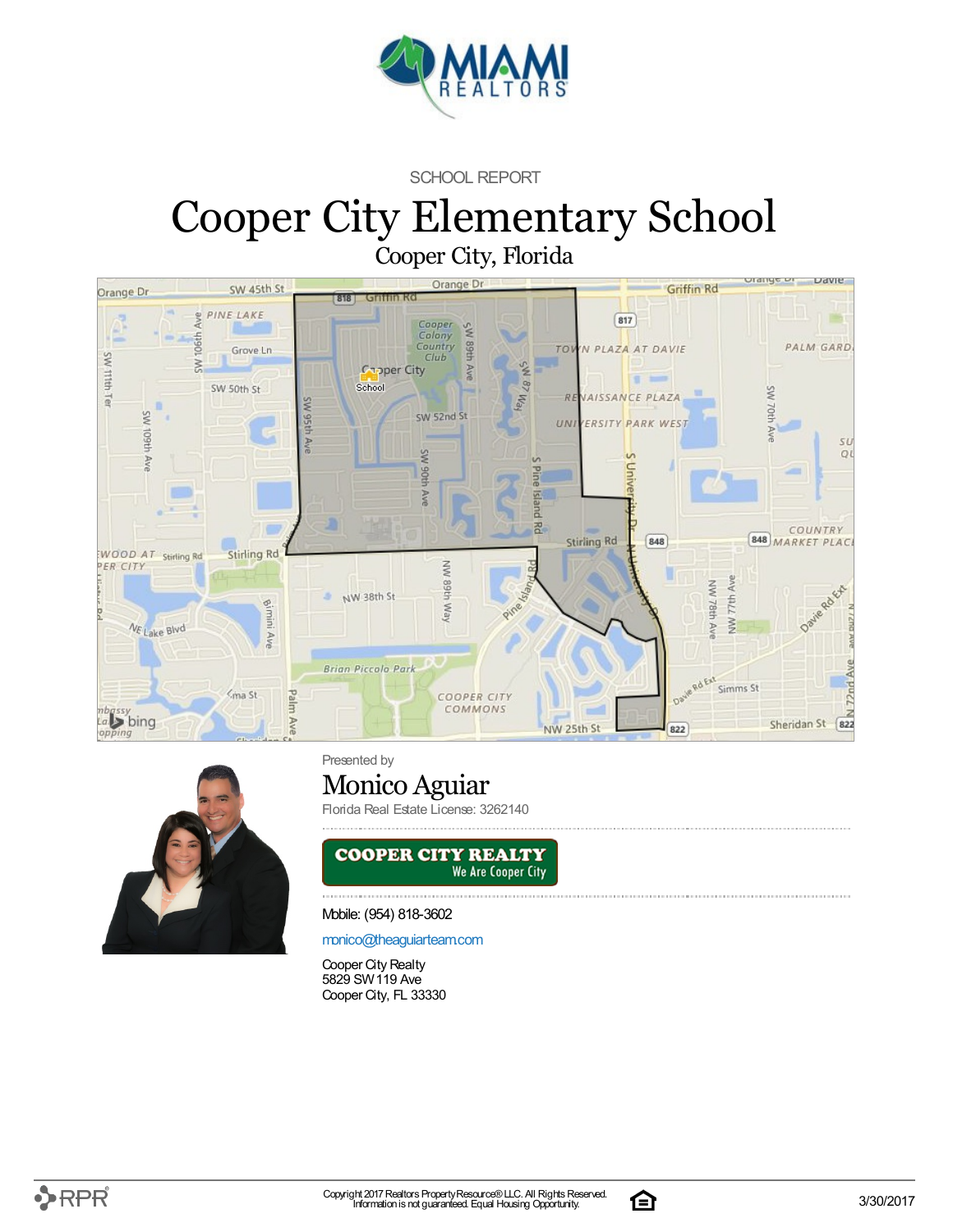

SCHOOL REPORT

# Cooper City Elementary School Cooper City, Florida





Presented by

### Monico Aguiar

Florida Real Estate License: 3262140



#### Mobile: (954) 818-3602

#### [monico@theaguiarteam.com](mailto:monico@theaguiarteam.com)

Cooper City Realty 5829 SW119 Ave Cooper City, FL 33330

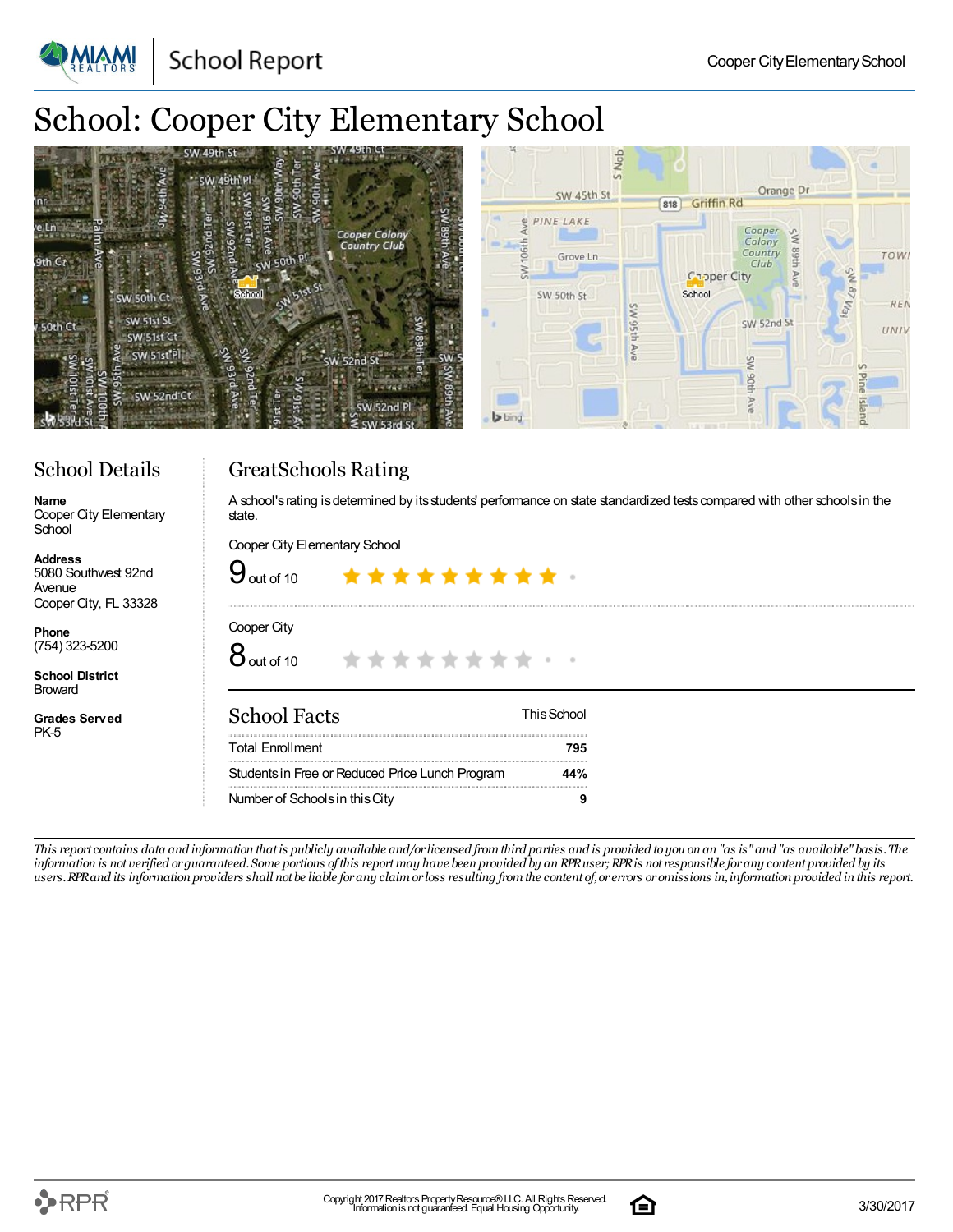**School Report** 

# School: Cooper City Elementary School

| 49th C<br>SW 49th<br>* SW 49th Pl                                           | doN<br>Orange Dr<br>SW 45th St<br><b>Griffin Rd</b><br>818                                                                                                                                                                                                                                                                                                                                                                                                                                      |             |
|-----------------------------------------------------------------------------|-------------------------------------------------------------------------------------------------------------------------------------------------------------------------------------------------------------------------------------------------------------------------------------------------------------------------------------------------------------------------------------------------------------------------------------------------------------------------------------------------|-------------|
| <b>Cooper Colony</b><br>Country Club<br><b>GW 50th</b><br><b>Sth C</b>      | & PINE LAKE<br>$\begin{array}{ccccc}\textit{Cooper} & \textit{v}_{\textit{c}} & \textit{c} & \textit{c} & \textit{c} & \textit{c} & \textit{c} & \textit{c} & \textit{c} & \textit{c} & \textit{c} & \textit{c} & \textit{c} & \textit{c} & \textit{c} & \textit{c} & \textit{c} & \textit{c} & \textit{c} & \textit{c} & \textit{c} & \textit{c} & \textit{c} & \textit{c} & \textit{c} & \textit{c} & \textit{c} & \textit{c} & \textit{c} & \textit$<br>HH68<br>Country<br>Grove Ln.<br>Club | <b>TOWI</b> |
| <b>PARK</b><br>School<br>SW 50th Ct<br>SW 51st St<br>' 50th Ct<br>SW'51st C | <b>Capper City</b><br>School<br>SW 50th St<br>Йą<br>SW 52nd St                                                                                                                                                                                                                                                                                                                                                                                                                                  | REN<br>UNIV |
| SW 51st <sup>'Pl</sup><br>SW 52nd St<br>SW 52nd Ct                          | 끟<br><b>b</b> bing                                                                                                                                                                                                                                                                                                                                                                                                                                                                              |             |

### School Details

GreatSchools Rating

**Name** Cooper City Elementary **School** 

**Address** 5080 Southwest 92nd Avenue Cooper City, FL 33328

**Phone** (754) 323-5200

**School District** Broward

**Grades Served** PK-5

A school's rating is determined by its students' performance on state standardized tests compared with other schools in the state.

Cooper City Elementary School

| $\mathbf{y}_{\text{\tiny{out of 10}}}$          | *********   |  |
|-------------------------------------------------|-------------|--|
| Cooper City<br>8 <sub>out of 10</sub>           | *********** |  |
| <b>School Facts</b>                             | This School |  |
| <b>Total Enrollment</b>                         | 795         |  |
| Students in Free or Reduced Price Lunch Program | 44%         |  |
| Number of Schools in this City                  | 9           |  |

This report contains data and information that is publicly available and/or licensed from third parties and is provided to you on an "as is" and "as available" basis. The information is not verified or guaranteed. Some portions of this report may have been provided by an RPR user; RPR is not responsible for any content provided by its users. RPR and its information providers shall not be liable for any claim or loss resulting from the content of, or errors or omissions in, information provided in this report.

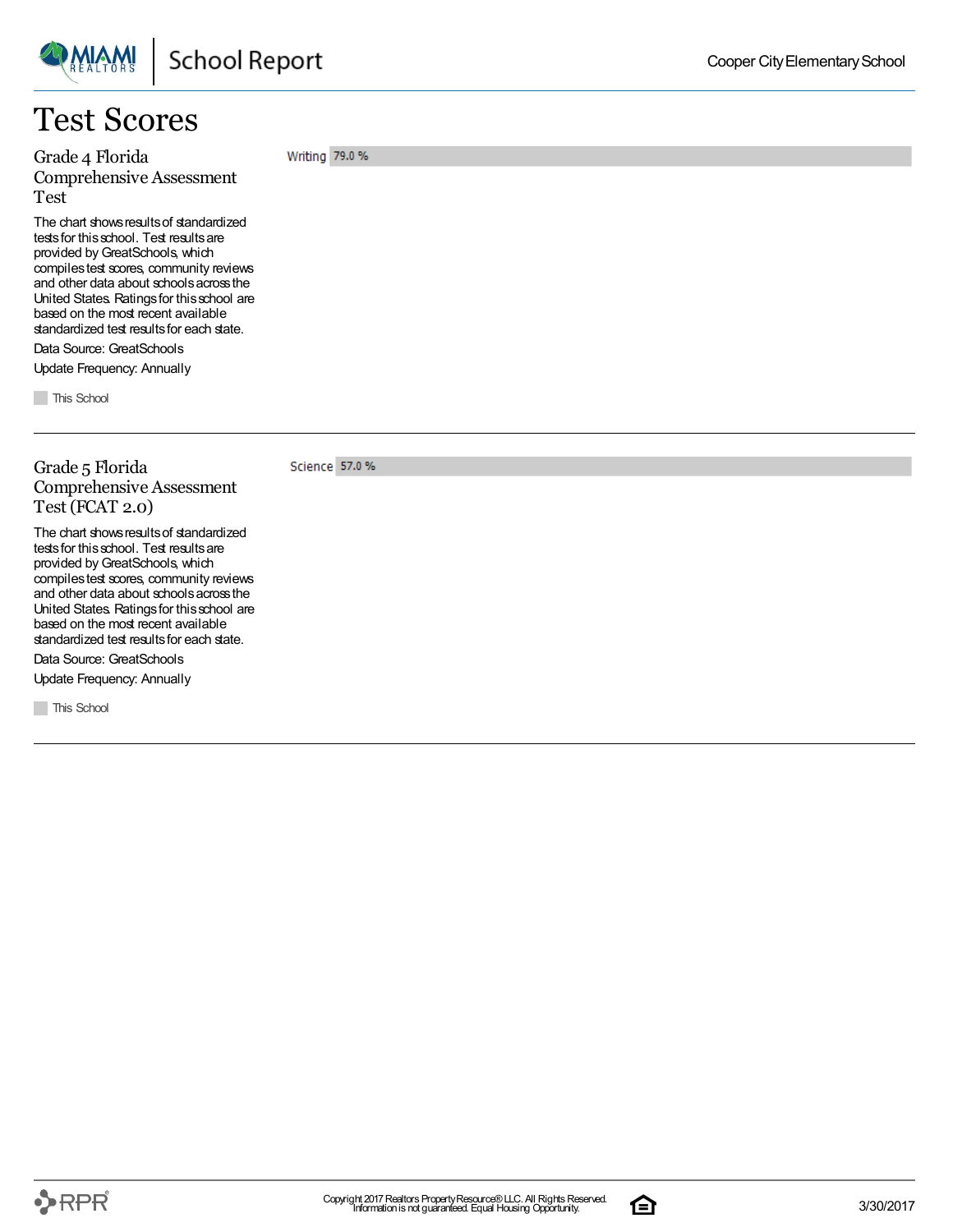

### Test Scores

Grade 4 Florida Comprehensive Assessment Test

The chart shows results of standardized tests for this school. Test results are provided by GreatSchools, which compilestest scores, community reviews and other data about schoolsacrossthe United States. Ratingsfor thisschool are based on the most recent available standardized test results for each state.

Data Source: GreatSchools Update Frequency: Annually

**This School** 

Grade 5 Florida Comprehensive Assessment Test (FCAT 2.0)

The chart shows results of standardized tests for this school. Test results are provided by GreatSchools, which compilestest scores, community reviews and other data about schoolsacrossthe United States. Ratingsfor thisschool are based on the most recent available standardized test results for each state.

Data Source: GreatSchools

Update Frequency: Annually

**This School** 

Writing 79.0 %

Science 57.0 %

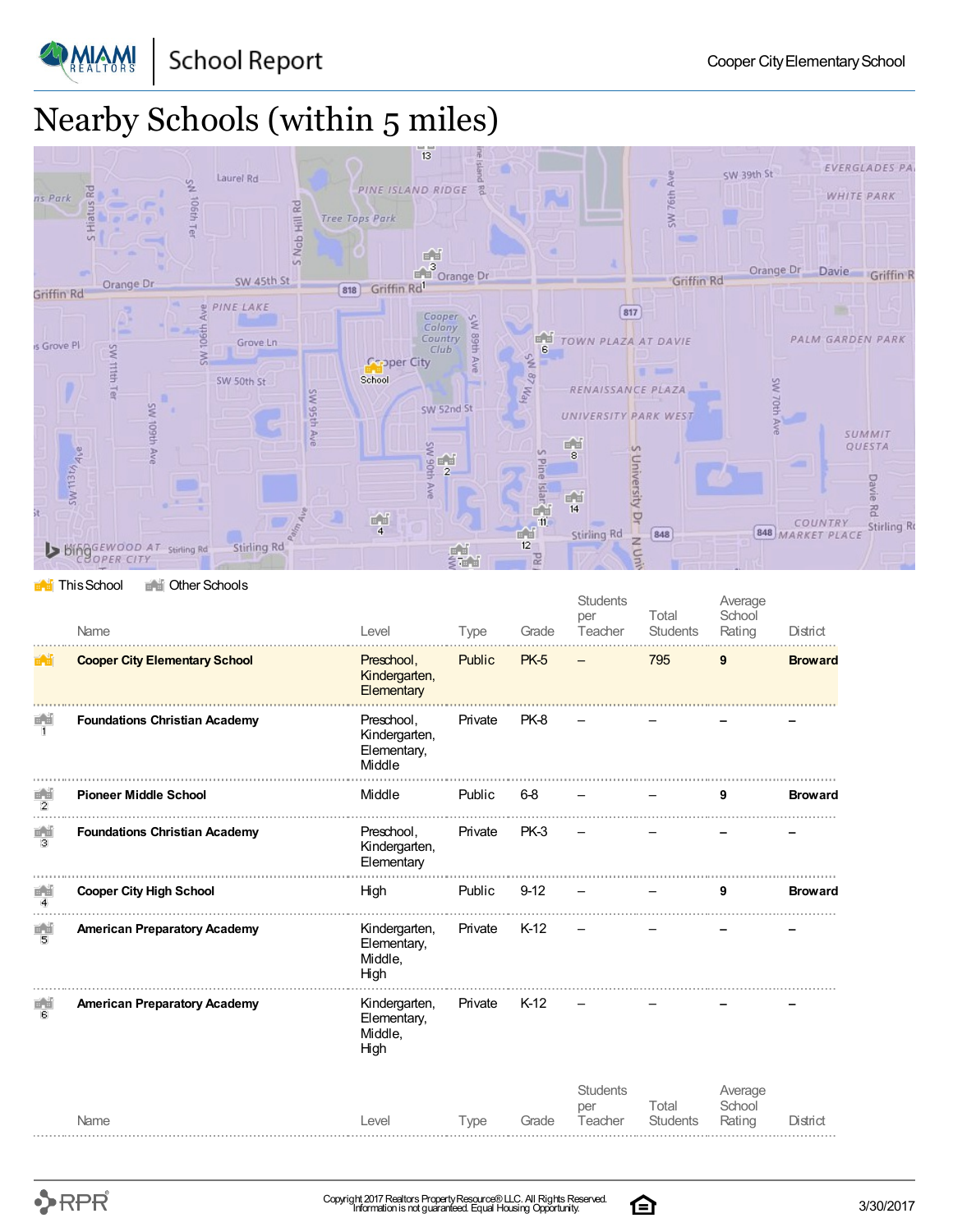**School Report** 



**PMIAMI** 

# Nearby Schools (within 5 miles)



#### **This School** The Other Schools

|                      | Name                                 | Level                                                | Type        | Grade       | <b>Students</b><br>per<br>Teacher | Total<br><b>Students</b> | Average<br>School<br>Rating | District       |
|----------------------|--------------------------------------|------------------------------------------------------|-------------|-------------|-----------------------------------|--------------------------|-----------------------------|----------------|
| 8 J B                | <b>Cooper City Elementary School</b> | Preschool,<br>Kindergarten,<br>Elementary            | Public      | <b>PK-5</b> |                                   | 795                      | 9                           | <b>Broward</b> |
| 医冠<br>$\mathbf{1}$   | <b>Foundations Christian Academy</b> | Preschool,<br>Kindergarten,<br>Elementary,<br>Middle | Private     | PK-8        |                                   |                          |                             |                |
| ÉŬ<br>$\overline{2}$ | <b>Pioneer Middle School</b>         | Middle                                               | Public      | $6-8$       |                                   |                          | 9                           | <b>Broward</b> |
| 重面<br>3              | <b>Foundations Christian Academy</b> | Preschool,<br>Kindergarten,<br>Elementary            | Private     | PK-3        |                                   |                          |                             |                |
| 首首<br>$\overline{4}$ | <b>Cooper City High School</b>       | High                                                 | Public      | $9 - 12$    |                                   |                          | 9                           | <b>Broward</b> |
| 画面<br>5              | <b>American Preparatory Academy</b>  | Kindergarten,<br>Elementary,<br>Middle,<br>High      | Private     | $K-12$      |                                   |                          |                             |                |
| 画面<br>в              | <b>American Preparatory Academy</b>  | Kindergarten,<br>Elementary,<br>Middle,<br>High      | Private     | $K-12$      |                                   |                          |                             |                |
|                      | Name                                 | Level                                                | <b>Type</b> | Grade       | <b>Students</b><br>per<br>Teacher | Total<br><b>Students</b> | Average<br>School<br>Rating | District       |
|                      |                                      |                                                      |             |             |                                   |                          |                             |                |